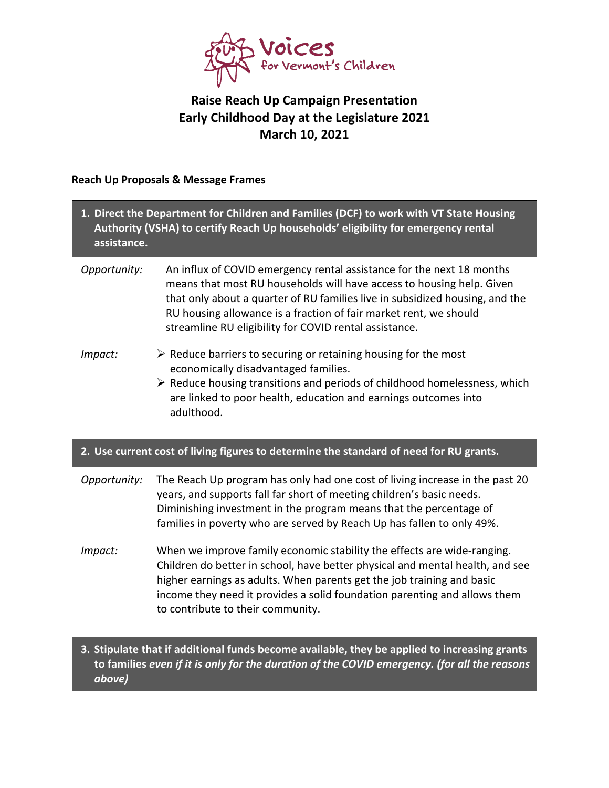

## **Raise Reach Up Campaign Presentation Early Childhood Day at the Legislature 2021 March 10, 2021**

## **Reach Up Proposals & Message Frames**

| 1. Direct the Department for Children and Families (DCF) to work with VT State Housing<br>Authority (VSHA) to certify Reach Up households' eligibility for emergency rental<br>assistance.             |                                                                                                                                                                                                                                                                                                                                                               |  |  |
|--------------------------------------------------------------------------------------------------------------------------------------------------------------------------------------------------------|---------------------------------------------------------------------------------------------------------------------------------------------------------------------------------------------------------------------------------------------------------------------------------------------------------------------------------------------------------------|--|--|
| Opportunity:                                                                                                                                                                                           | An influx of COVID emergency rental assistance for the next 18 months<br>means that most RU households will have access to housing help. Given<br>that only about a quarter of RU families live in subsidized housing, and the<br>RU housing allowance is a fraction of fair market rent, we should<br>streamline RU eligibility for COVID rental assistance. |  |  |
| Impact:                                                                                                                                                                                                | $\triangleright$ Reduce barriers to securing or retaining housing for the most<br>economically disadvantaged families.<br>$\triangleright$ Reduce housing transitions and periods of childhood homelessness, which<br>are linked to poor health, education and earnings outcomes into<br>adulthood.                                                           |  |  |
| 2. Use current cost of living figures to determine the standard of need for RU grants.                                                                                                                 |                                                                                                                                                                                                                                                                                                                                                               |  |  |
| Opportunity:                                                                                                                                                                                           | The Reach Up program has only had one cost of living increase in the past 20<br>years, and supports fall far short of meeting children's basic needs.<br>Diminishing investment in the program means that the percentage of<br>families in poverty who are served by Reach Up has fallen to only 49%.                                                         |  |  |
| Impact:                                                                                                                                                                                                | When we improve family economic stability the effects are wide-ranging.<br>Children do better in school, have better physical and mental health, and see<br>higher earnings as adults. When parents get the job training and basic<br>income they need it provides a solid foundation parenting and allows them<br>to contribute to their community.          |  |  |
| 3. Stipulate that if additional funds become available, they be applied to increasing grants<br>to families even if it is only for the duration of the COVID emergency. (for all the reasons<br>above) |                                                                                                                                                                                                                                                                                                                                                               |  |  |